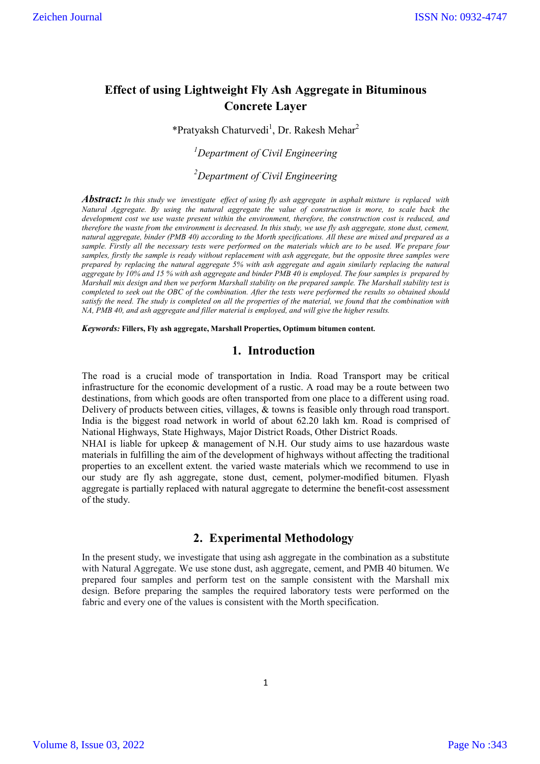# **Effect of using Lightweight Fly Ash Aggregate in Bituminous Concrete Layer**

\*Pratyaksh Chaturvedi<sup>1</sup>, Dr. Rakesh Mehar<sup>2</sup>

*1 Department of Civil Engineering*

*2 Department of Civil Engineering*

*Abstract: In this study we investigate effect of using fly ash aggregate in asphalt mixture is replaced with Natural Aggregate. By using the natural aggregate the value of construction is more, to scale back the development cost we use waste present within the environment, therefore, the construction cost is reduced, and therefore the waste from the environment is decreased. In this study, we use fly ash aggregate, stone dust, cement, natural aggregate, binder (PMB 40) according to the Morth specifications. All these are mixed and prepared as a sample. Firstly all the necessary tests were performed on the materials which are to be used. We prepare four samples, firstly the sample is ready without replacement with ash aggregate, but the opposite three samples were prepared by replacing the natural aggregate 5% with ash aggregate and again similarly replacing the natural aggregate by 10% and 15 % with ash aggregate and binder PMB 40 is employed. The four samples is prepared by Marshall mix design and then we perform Marshall stability on the prepared sample. The Marshall stability test is completed to seek out the OBC of the combination. After the tests were performed the results so obtained should satisfy the need. The study is completed on all the properties of the material, we found that the combination with NA, PMB 40, and ash aggregate and filler material is employed, and will give the higher results.*

*Keywords:* **Fillers, Fly ash aggregate, Marshall Properties, Optimum bitumen content.**

### **1. Introduction**

The road is a crucial mode of transportation in India. Road Transport may be critical infrastructure for the economic development of a rustic. A road may be a route between two destinations, from which goods are often transported from one place to a different using road. Delivery of products between cities, villages, & towns is feasible only through road transport. India is the biggest road network in world of about 62.20 lakh km. Road is comprised of National Highways, State Highways, Major District Roads, Other District Roads.

NHAI is liable for upkeep & management of N.H. Our study aims to use hazardous waste materials in fulfilling the aim of the development of highways without affecting the traditional properties to an excellent extent. the varied waste materials which we recommend to use in our study are fly ash aggregate, stone dust, cement, polymer-modified bitumen. Flyash aggregate is partially replaced with natural aggregate to determine the benefit-cost assessment of the study.

## **2. Experimental Methodology**

In the present study, we investigate that using ash aggregate in the combination as a substitute with Natural Aggregate. We use stone dust, ash aggregate, cement, and PMB 40 bitumen. We prepared four samples and perform test on the sample consistent with the Marshall mix design. Before preparing the samples the required laboratory tests were performed on the fabric and every one of the values is consistent with the Morth specification.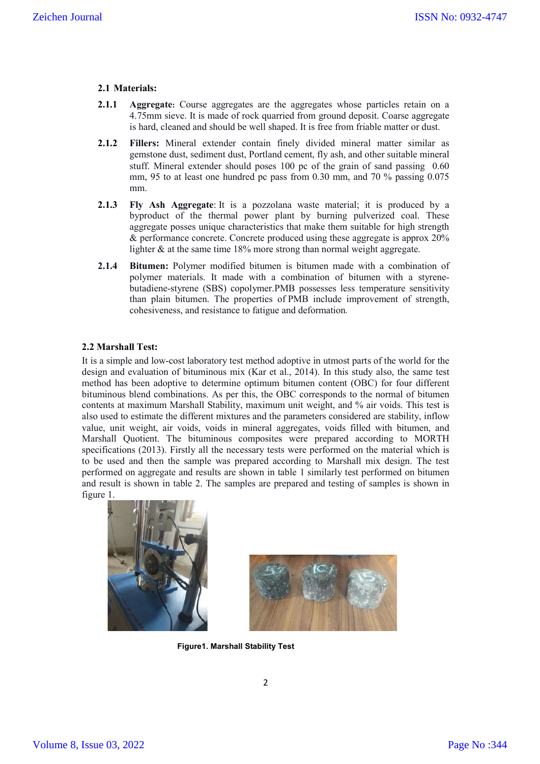### **2.1 Materials:**

- **2.1.1 Aggregate:** Course aggregates are the aggregates whose particles retain on a 4.75mm sieve. It is made of rock quarried from ground deposit. Coarse aggregate is hard, cleaned and should be well shaped. It is free from friable matter or dust.
- **2.1.2 Fillers:** Mineral extender contain finely divided mineral matter similar as gemstone dust, sediment dust, Portland cement, fly ash, and other suitable mineral stuff. Mineral extender should poses 100 pc of the grain of sand passing 0.60 mm, 95 to at least one hundred pc pass from 0.30 mm, and 70 % passing 0.075 mm.
- **2.1.3 Fly Ash Aggregate**: It is a pozzolana waste material; it is produced by a byproduct of the thermal power plant by burning pulverized coal. These aggregate posses unique characteristics that make them suitable for high strength & performance concrete. Concrete produced using these aggregate is approx 20% lighter  $\&$  at the same time 18% more strong than normal weight aggregate.
- **2.1.4 Bitumen:** Polymer modified bitumen is bitumen made with a combination of polymer materials. It made with a combination of bitumen with a styrenebutadiene-styrene (SBS) copolymer.PMB possesses less temperature sensitivity than plain bitumen. The properties of PMB include improvement of strength, cohesiveness, and resistance to fatigue and deformation*.*

#### **2.2 Marshall Test:**

It is a simple and low-cost laboratory test method adoptive in utmost parts of the world for the design and evaluation of bituminous mix (Kar et al., 2014). In this study also, the same test method has been adoptive to determine optimum bitumen content (OBC) for four different bituminous blend combinations. As per this, the OBC corresponds to the normal of bitumen contents at maximum Marshall Stability, maximum unit weight, and % air voids. This test is also used to estimate the different mixtures and the parameters considered are stability, inflow value, unit weight, air voids, voids in mineral aggregates, voids filled with bitumen, and Marshall Quotient. The bituminous composites were prepared according to MORTH specifications (2013). Firstly all the necessary tests were performed on the material which is to be used and then the sample was prepared according to Marshall mix design. The test performed on aggregate and results are shown in table 1 similarly test performed on bitumen and result is shown in table 2. The samples are prepared and testing of samples is shown in figure 1.





**Figure1. Marshall Stability Test**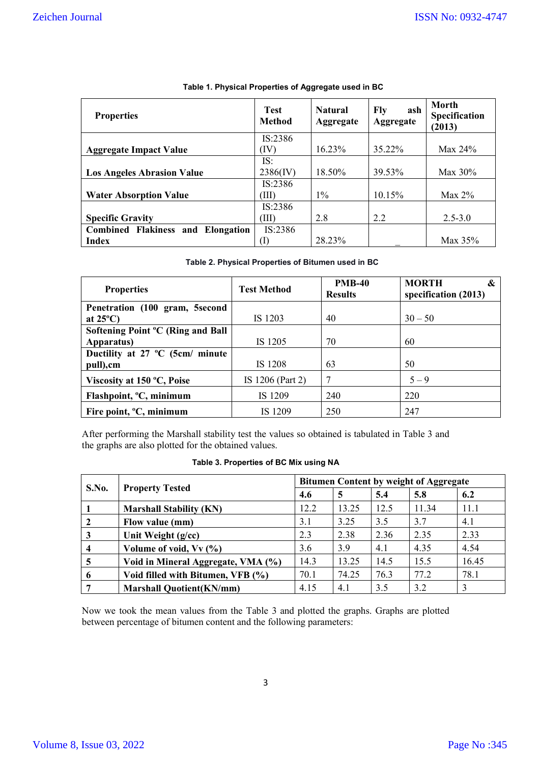| <b>Properties</b>                        | <b>Test</b><br>Method | <b>Natural</b><br>Aggregate | Fly<br>ash<br>Aggregate | Morth<br>Specification<br>(2013) |
|------------------------------------------|-----------------------|-----------------------------|-------------------------|----------------------------------|
|                                          | IS:2386               |                             |                         |                                  |
| <b>Aggregate Impact Value</b>            | (IV)                  | $16.23\%$                   | 35.22%                  | Max $24\%$                       |
|                                          | IS:                   |                             |                         |                                  |
| <b>Los Angeles Abrasion Value</b>        | $2386$ (IV)           | 18.50%                      | 39.53%                  | Max $30\%$                       |
|                                          | IS:2386               |                             |                         |                                  |
| <b>Water Absorption Value</b>            | ΊII)                  | $1\%$                       | 10.15%                  | Max $2\%$                        |
|                                          | IS:2386               |                             |                         |                                  |
| <b>Specific Gravity</b>                  | (III)                 | 2.8                         | 2.2                     | $2.5 - 3.0$                      |
| <b>Combined Flakiness and Elongation</b> | IS:2386               |                             |                         |                                  |
| <b>Index</b>                             | (1)                   | 28.23%                      |                         | Max $35%$                        |

### **Table 1. Physical Properties of Aggregate used in BC**

### **Table 2. Physical Properties of Bitumen used in BC**

| <b>Properties</b>                   | <b>Test Method</b> | <b>PMB-40</b><br><b>Results</b> | <b>MORTH</b><br>&<br>specification (2013) |  |
|-------------------------------------|--------------------|---------------------------------|-------------------------------------------|--|
| Penetration (100 gram, 5second      |                    |                                 |                                           |  |
| at $25^{\circ}$ C)                  | IS 1203            | 40                              | $30 - 50$                                 |  |
| Softening Point °C (Ring and Ball   |                    |                                 |                                           |  |
| Apparatus)                          | IS 1205            | 70                              | 60                                        |  |
| Ductility at 27 °C (5cm/ minute     |                    |                                 |                                           |  |
| pull), cm                           | IS 1208            | 63                              | 50                                        |  |
| Viscosity at 150 °C, Poise          | IS 1206 (Part 2)   | 7                               | $5 - 9$                                   |  |
| Flashpoint, <sup>o</sup> C, minimum | IS 1209            | 240                             | 220                                       |  |
| Fire point, <sup>o</sup> C, minimum | IS 1209            | 250                             | 247                                       |  |

After performing the Marshall stability test the values so obtained is tabulated in Table 3 and the graphs are also plotted for the obtained values.

## **Table 3. Properties of BC Mix using NA**

| S.No.                   | <b>Property Tested</b>             | <b>Bitumen Content by weight of Aggregate</b> |       |      |       |       |  |
|-------------------------|------------------------------------|-----------------------------------------------|-------|------|-------|-------|--|
|                         |                                    | 4.6                                           | 5     | 5.4  | 5.8   | 6.2   |  |
|                         | <b>Marshall Stability (KN)</b>     | 12.2                                          | 13.25 | 12.5 | 11.34 | 11.1  |  |
|                         | Flow value (mm)                    | 3.1                                           | 3.25  | 3.5  | 3.7   | 4.1   |  |
| 3                       | Unit Weight (g/cc)                 | 2.3                                           | 2.38  | 2.36 | 2.35  | 2.33  |  |
| $\overline{\mathbf{4}}$ | Volume of void, Vv (%)             | 3.6                                           | 3.9   | 4.1  | 4.35  | 4.54  |  |
| 5                       | Void in Mineral Aggregate, VMA (%) | 14.3                                          | 13.25 | 14.5 | 15.5  | 16.45 |  |
| 6                       | Void filled with Bitumen, VFB (%)  | 70.1                                          | 74.25 | 76.3 | 77.2  | 78.1  |  |
|                         | <b>Marshall Quotient(KN/mm)</b>    | 4.15                                          | 4.1   | 3.5  | 3.2   | 3     |  |

Now we took the mean values from the Table 3 and plotted the graphs. Graphs are plotted between percentage of bitumen content and the following parameters: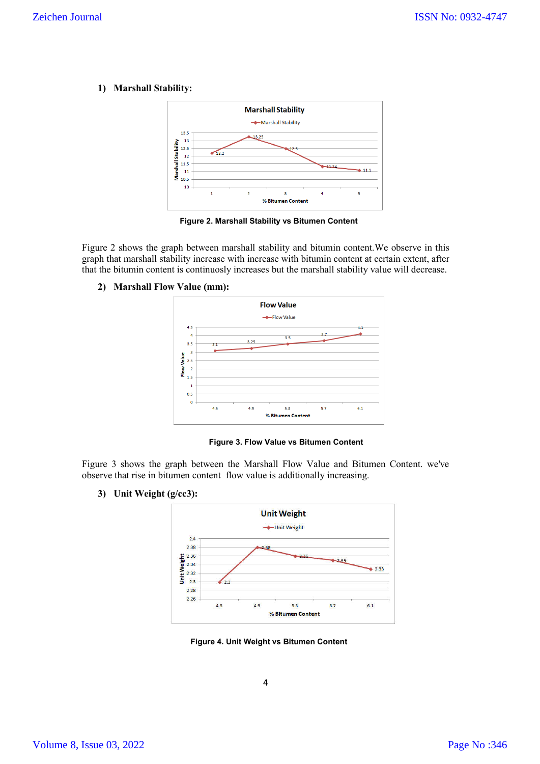**1) Marshall Stability:** 



**Figure 2. Marshall Stability vs Bitumen Content**

Figure 2 shows the graph between marshall stability and bitumin content.We observe in this graph that marshall stability increase with increase with bitumin content at certain extent, after that the bitumin content is continuosly increases but the marshall stability value will decrease.

**2) Marshall Flow Value (mm):**



 **Figure 3. Flow Value vs Bitumen Content**

Figure 3 shows the graph between the Marshall Flow Value and Bitumen Content. we've observe that rise in bitumen content flow value is additionally increasing.

**3) Unit Weight (g/cc3):**



**Figure 4. Unit Weight vs Bitumen Content**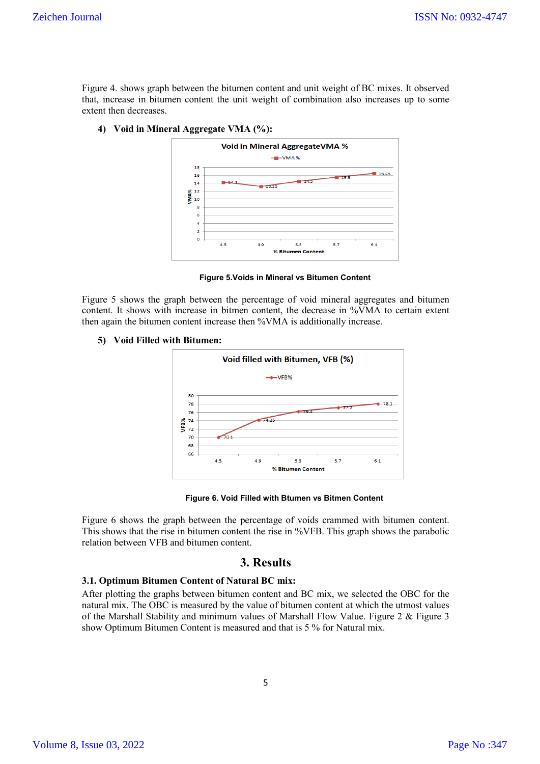Figure 4. shows graph between the bitumen content and unit weight of BC mixes. It observed that, increase in bitumen content the unit weight of combination also increases up to some extent then decreases.

**4) Void in Mineral Aggregate VMA (%):**



**Figure 5.Voids in Mineral vs Bitumen Content**

Figure 5 shows the graph between the percentage of void mineral aggregates and bitumen content. It shows with increase in bitmen content, the decrease in %VMA to certain extent then again the bitumen content increase then %VMA is additionally increase.

#### **5) Void Filled with Bitumen:**



 **Figure 6. Void Filled with Btumen vs Bitmen Content**

Figure 6 shows the graph between the percentage of voids crammed with bitumen content. This shows that the rise in bitumen content the rise in %VFB. This graph shows the parabolic relation between VFB and bitumen content.

## **3. Results**

#### **3.1. Optimum Bitumen Content of Natural BC mix:**

After plotting the graphs between bitumen content and BC mix, we selected the OBC for the natural mix. The OBC is measured by the value of bitumen content at which the utmost values of the Marshall Stability and minimum values of Marshall Flow Value. Figure 2 & Figure 3 show Optimum Bitumen Content is measured and that is 5 % for Natural mix.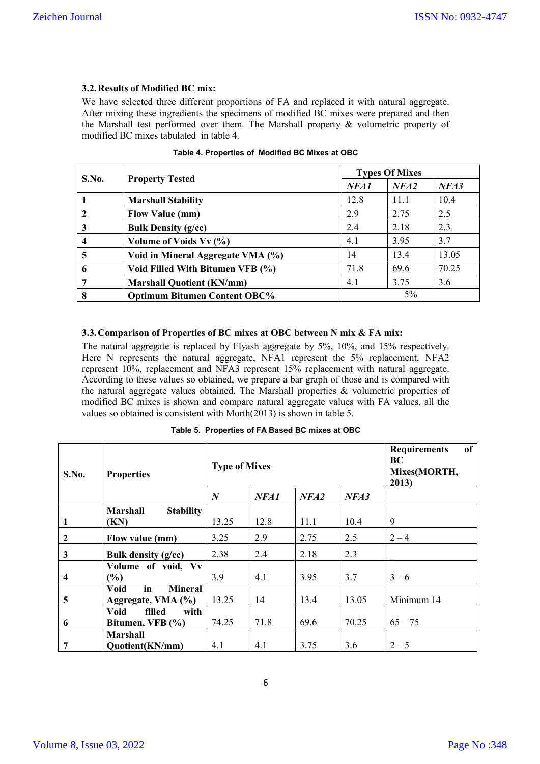## **3.2.Results of Modified BC mix:**

We have selected three different proportions of FA and replaced it with natural aggregate. After mixing these ingredients the specimens of modified BC mixes were prepared and then the Marshall test performed over them. The Marshall property & volumetric property of modified BC mixes tabulated in table 4.

| S.No. |                                     |      | <b>Types Of Mixes</b> |       |  |  |
|-------|-------------------------------------|------|-----------------------|-------|--|--|
|       | <b>Property Tested</b>              | NFA1 | NFA2                  | NFA3  |  |  |
|       | <b>Marshall Stability</b>           | 12.8 | 11.1                  | 10.4  |  |  |
|       | <b>Flow Value (mm)</b>              | 2.9  | 2.75                  | 2.5   |  |  |
| 3     | <b>Bulk Density (g/cc)</b>          | 2.4  | 2.18                  | 2.3   |  |  |
|       | Volume of Voids Vv (%)              | 4.1  | 3.95                  | 3.7   |  |  |
| 5     | Void in Mineral Aggregate VMA (%)   | 14   | 13.4                  | 13.05 |  |  |
| 6     | Void Filled With Bitumen VFB (%)    | 71.8 | 69.6                  | 70.25 |  |  |
|       | <b>Marshall Quotient (KN/mm)</b>    | 4.1  | 3.75                  | 3.6   |  |  |
| 8     | <b>Optimum Bitumen Content OBC%</b> |      | $5\%$                 |       |  |  |

|  | Table 4. Properties of Modified BC Mixes at OBC |  |
|--|-------------------------------------------------|--|
|  |                                                 |  |

## **3.3.Comparison of Properties of BC mixes at OBC between N mix & FA mix:**

The natural aggregate is replaced by Flyash aggregate by 5%, 10%, and 15% respectively. Here N represents the natural aggregate, NFA1 represent the 5% replacement, NFA2 represent 10%, replacement and NFA3 represent 15% replacement with natural aggregate. According to these values so obtained, we prepare a bar graph of those and is compared with the natural aggregate values obtained. The Marshall properties & volumetric properties of modified BC mixes is shown and compare natural aggregate values with FA values, all the values so obtained is consistent with Morth(2013) is shown in table 5.

|  | Table 5. Properties of FA Based BC mixes at OBC |  |  |  |  |  |
|--|-------------------------------------------------|--|--|--|--|--|
|--|-------------------------------------------------|--|--|--|--|--|

| S.No.        | <b>Properties</b>                   | <b>Type of Mixes</b> |      | <b>Requirements</b><br>of<br>BC<br>Mixes(MORTH,<br>2013) |       |            |
|--------------|-------------------------------------|----------------------|------|----------------------------------------------------------|-------|------------|
|              |                                     | $\boldsymbol{N}$     | NFA1 | NFA2                                                     | NFA3  |            |
|              | <b>Marshall</b><br><b>Stability</b> |                      |      |                                                          |       |            |
| 1            | (KN)                                | 13.25                | 12.8 | 11.1                                                     | 10.4  | 9          |
| $\mathbf{2}$ | Flow value (mm)                     | 3.25                 | 2.9  | 2.75                                                     | 2.5   | $2 - 4$    |
| 3            | Bulk density $(g/cc)$               | 2.38                 | 2.4  | 2.18                                                     | 2.3   |            |
|              | Volume of void, Vv                  |                      |      |                                                          |       |            |
| 4            | (%)                                 | 3.9                  | 4.1  | 3.95                                                     | 3.7   | $3 - 6$    |
|              | in<br><b>Mineral</b><br><b>Void</b> |                      |      |                                                          |       |            |
| 5            | Aggregate, VMA (%)                  | 13.25                | 14   | 13.4                                                     | 13.05 | Minimum 14 |
|              | <b>Void</b><br>filled<br>with       |                      |      |                                                          |       |            |
| 6            | Bitumen, VFB (%)                    | 74.25                | 71.8 | 69.6                                                     | 70.25 | $65 - 75$  |
|              | <b>Marshall</b>                     |                      |      |                                                          |       |            |
| 7            | Quotient(KN/mm)                     | 4.1                  | 4.1  | 3.75                                                     | 3.6   | $2 - 5$    |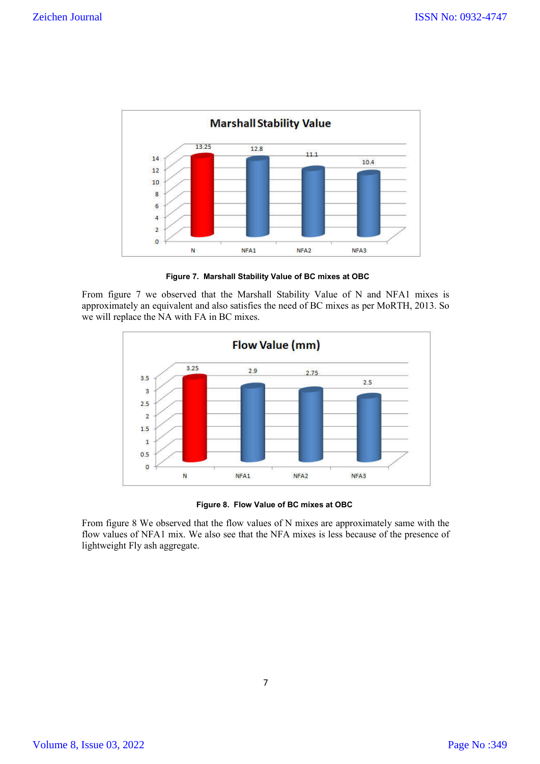

 **Figure 7. Marshall Stability Value of BC mixes at OBC**

From figure 7 we observed that the Marshall Stability Value of N and NFA1 mixes is approximately an equivalent and also satisfies the need of BC mixes as per MoRTH, 2013. So we will replace the NA with FA in BC mixes.



 **Figure 8. Flow Value of BC mixes at OBC**

From figure 8 We observed that the flow values of N mixes are approximately same with the flow values of NFA1 mix. We also see that the NFA mixes is less because of the presence of lightweight Fly ash aggregate.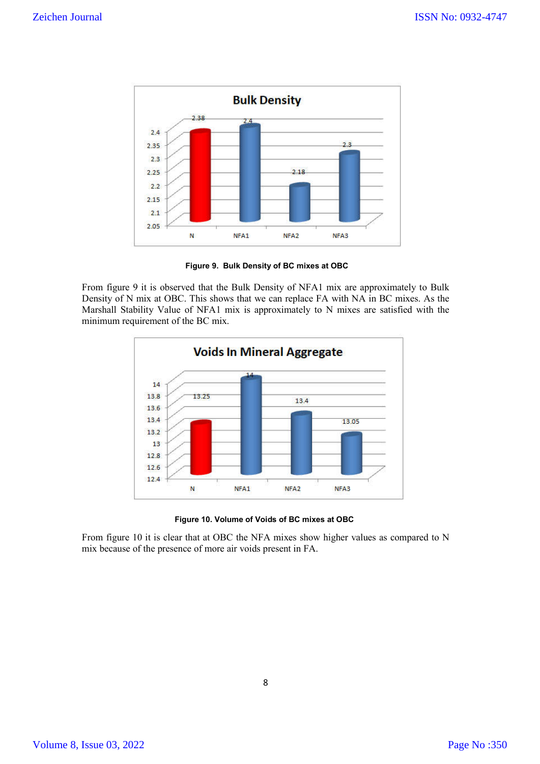

**Figure 9. Bulk Density of BC mixes at OBC**

From figure 9 it is observed that the Bulk Density of NFA1 mix are approximately to Bulk Density of N mix at OBC. This shows that we can replace FA with NA in BC mixes. As the Marshall Stability Value of NFA1 mix is approximately to N mixes are satisfied with the minimum requirement of the BC mix.



 **Figure 10. Volume of Voids of BC mixes at OBC**

From figure 10 it is clear that at OBC the NFA mixes show higher values as compared to N mix because of the presence of more air voids present in FA.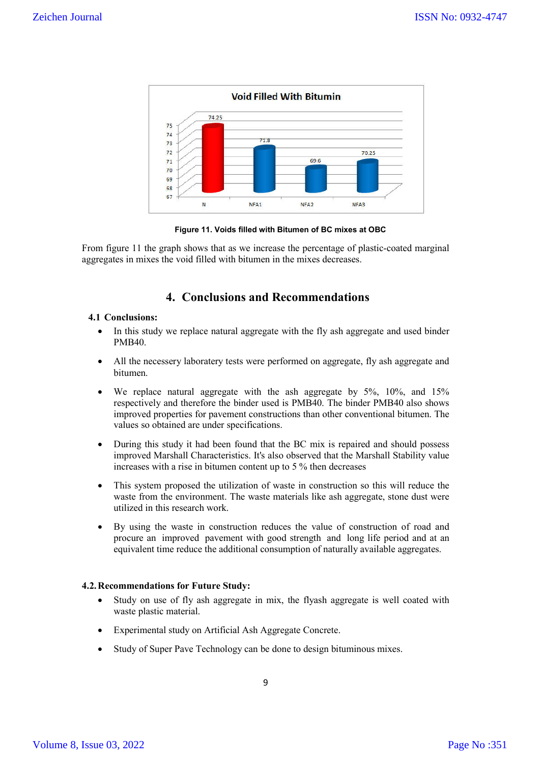

 **Figure 11. Voids filled with Bitumen of BC mixes at OBC**

From figure 11 the graph shows that as we increase the percentage of plastic-coated marginal aggregates in mixes the void filled with bitumen in the mixes decreases.

## **4. Conclusions and Recommendations**

### **4.1 Conclusions:**

- In this study we replace natural aggregate with the fly ash aggregate and used binder PMB40.
- All the necessery laboratery tests were performed on aggregate, fly ash aggregate and bitumen.
- We replace natural aggregate with the ash aggregate by 5%, 10%, and 15% respectively and therefore the binder used is PMB40. The binder PMB40 also shows improved properties for pavement constructions than other conventional bitumen. The values so obtained are under specifications.
- During this study it had been found that the BC mix is repaired and should possess improved Marshall Characteristics. It's also observed that the Marshall Stability value increases with a rise in bitumen content up to 5 % then decreases
- This system proposed the utilization of waste in construction so this will reduce the waste from the environment. The waste materials like ash aggregate, stone dust were utilized in this research work.
- By using the waste in construction reduces the value of construction of road and procure an improved pavement with good strength and long life period and at an equivalent time reduce the additional consumption of naturally available aggregates.

### **4.2.Recommendations for Future Study:**

- Study on use of fly ash aggregate in mix, the flyash aggregate is well coated with waste plastic material.
- Experimental study on Artificial Ash Aggregate Concrete.
- Study of Super Pave Technology can be done to design bituminous mixes.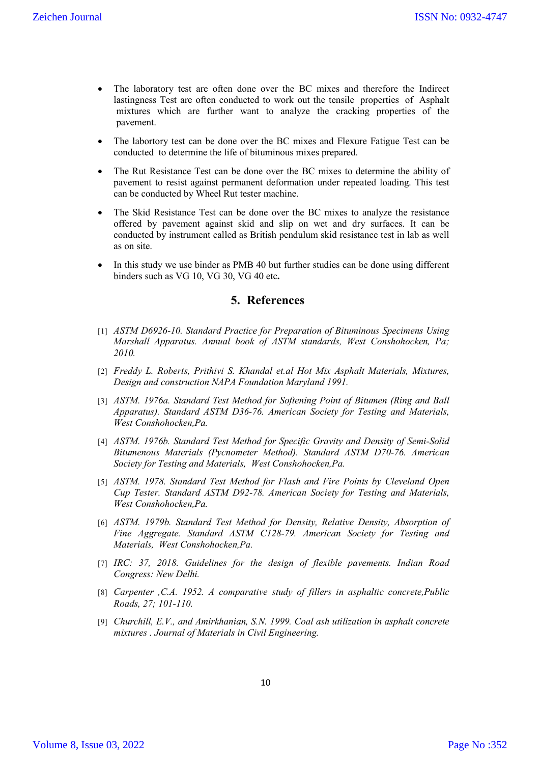- The laboratory test are often done over the BC mixes and therefore the Indirect lastingness Test are often conducted to work out the tensile properties of Asphalt mixtures which are further want to analyze the cracking properties of the .pavement.
- The labortory test can be done over the BC mixes and Flexure Fatigue Test can be conducted to determine the life of bituminous mixes prepared.
- The Rut Resistance Test can be done over the BC mixes to determine the ability of pavement to resist against permanent deformation under repeated loading. This test can be conducted by Wheel Rut tester machine.
- The Skid Resistance Test can be done over the BC mixes to analyze the resistance offered by pavement against skid and slip on wet and dry surfaces. It can be conducted by instrument called as British pendulum skid resistance test in lab as well as on site.
- In this study we use binder as PMB 40 but further studies can be done using different binders such as VG 10, VG 30, VG 40 etc**.**

## **5. References**

- [1] *ASTM D6926-10. Standard Practice for Preparation of Bituminous Specimens Using Marshall Apparatus. Annual book of ASTM standards, West Conshohocken, Pa; 2010.*
- [2] *Freddy L. Roberts, Prithivi S. Khandal et.al Hot Mix Asphalt Materials, Mixtures, Design and construction NAPA Foundation Maryland 1991.*
- [3] *ASTM. 1976a. Standard Test Method for Softening Point of Bitumen (Ring and Ball Apparatus). Standard ASTM D36-76. American Society for Testing and Materials, West Conshohocken,Pa.*
- [4] *ASTM. 1976b. Standard Test Method for Specific Gravity and Density of Semi-Solid Bitumenous Materials (Pycnometer Method). Standard ASTM D70-76. American Society for Testing and Materials, West Conshohocken,Pa.*
- [5] *ASTM. 1978. Standard Test Method for Flash and Fire Points by Cleveland Open Cup Tester. Standard ASTM D92-78. American Society for Testing and Materials, West Conshohocken,Pa.*
- [6] *ASTM. 1979b. Standard Test Method for Density, Relative Density, Absorption of Fine Aggregate. Standard ASTM C128-79. American Society for Testing and Materials, West Conshohocken,Pa.*
- [7] *IRC: 37, 2018. Guidelines for the design of flexible pavements. Indian Road Congress: New Delhi.*
- [8] *Carpenter ,C.A. 1952. A comparative study of fillers in asphaltic concrete,Public Roads, 27; 101-110.*
- [9] *Churchill, E.V., and Amirkhanian, S.N. 1999. Coal ash utilization in asphalt concrete mixtures . Journal of Materials in Civil Engineering.*